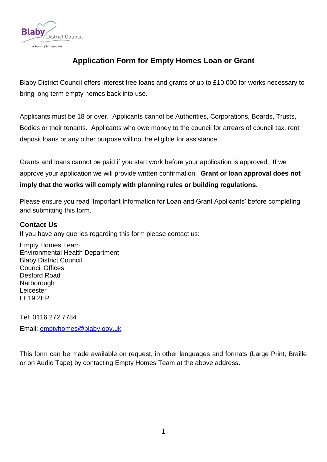

# **Application Form for Empty Homes Loan or Grant**

Blaby District Council offers interest free loans and grants of up to £10,000 for works necessary to bring long term empty homes back into use.

Applicants must be 18 or over. Applicants cannot be Authorities, Corporations, Boards, Trusts, Bodies or their tenants. Applicants who owe money to the council for arrears of council tax, rent deposit loans or any other purpose will not be eligible for assistance.

Grants and loans cannot be paid if you start work before your application is approved. If we approve your application we will provide written confirmation. **Grant or loan approval does not imply that the works will comply with planning rules or building regulations.**

Please ensure you read 'Important Information for Loan and Grant Applicants' before completing and submitting this form.

## **Contact Us**

If you have any queries regarding this form please contact us:

Empty Homes Team Environmental Health Department Blaby District Council Council Offices Desford Road Narborough Leicester LE19 2EP

Tel: 0116 272 7784 Email: [emptyhomes@blaby.gov.uk](mailto:emptyhomes@blaby.gov.uk)

This form can be made available on request, in other languages and formats (Large Print, Braille or on Audio Tape) by contacting Empty Homes Team at the above address.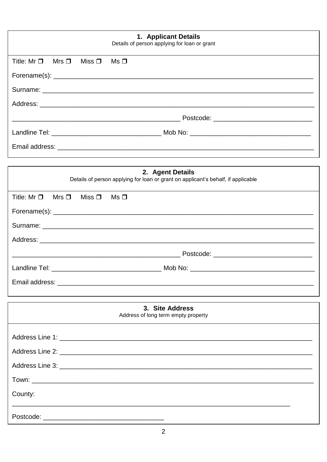| 1. Applicant Details<br>Details of person applying for loan or grant                                                                                                  |  |  |  |
|-----------------------------------------------------------------------------------------------------------------------------------------------------------------------|--|--|--|
| Title: $Mr \Box$<br>Mrs $\square$<br>Miss $\square$<br>Ms □                                                                                                           |  |  |  |
|                                                                                                                                                                       |  |  |  |
|                                                                                                                                                                       |  |  |  |
|                                                                                                                                                                       |  |  |  |
|                                                                                                                                                                       |  |  |  |
|                                                                                                                                                                       |  |  |  |
|                                                                                                                                                                       |  |  |  |
|                                                                                                                                                                       |  |  |  |
| 2. Agent Details<br>Details of person applying for loan or grant on applicant's behalf, if applicable                                                                 |  |  |  |
| Title: $Mr \Box$<br>Mrs $\square$<br>Miss $\square$<br>$Ms$ $\Box$                                                                                                    |  |  |  |
|                                                                                                                                                                       |  |  |  |
|                                                                                                                                                                       |  |  |  |
|                                                                                                                                                                       |  |  |  |
| Postcode: __________________________________<br><u> 1989 - Johann Stoff, deutscher Stoff, der Stoff, der Stoff, der Stoff, der Stoff, der Stoff, der Stoff, der S</u> |  |  |  |
|                                                                                                                                                                       |  |  |  |
|                                                                                                                                                                       |  |  |  |
|                                                                                                                                                                       |  |  |  |
| 3. Site Address<br>Address of long term empty property                                                                                                                |  |  |  |
|                                                                                                                                                                       |  |  |  |
|                                                                                                                                                                       |  |  |  |
|                                                                                                                                                                       |  |  |  |
|                                                                                                                                                                       |  |  |  |
| County:                                                                                                                                                               |  |  |  |
|                                                                                                                                                                       |  |  |  |
|                                                                                                                                                                       |  |  |  |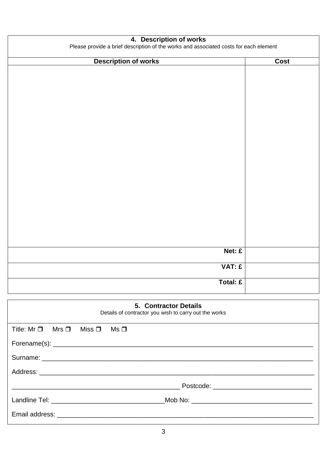| 4. Description of works<br>Please provide a brief description of the works and associated costs for each element |          |  |
|------------------------------------------------------------------------------------------------------------------|----------|--|
| <b>Description of works</b>                                                                                      | Cost     |  |
|                                                                                                                  |          |  |
|                                                                                                                  |          |  |
|                                                                                                                  |          |  |
|                                                                                                                  |          |  |
|                                                                                                                  |          |  |
|                                                                                                                  |          |  |
|                                                                                                                  |          |  |
|                                                                                                                  |          |  |
|                                                                                                                  |          |  |
|                                                                                                                  |          |  |
|                                                                                                                  |          |  |
|                                                                                                                  |          |  |
|                                                                                                                  |          |  |
|                                                                                                                  |          |  |
|                                                                                                                  |          |  |
|                                                                                                                  |          |  |
|                                                                                                                  |          |  |
|                                                                                                                  |          |  |
|                                                                                                                  |          |  |
|                                                                                                                  |          |  |
|                                                                                                                  |          |  |
|                                                                                                                  | Net: £   |  |
|                                                                                                                  |          |  |
|                                                                                                                  | VAT: £   |  |
|                                                                                                                  |          |  |
|                                                                                                                  | Total: £ |  |
|                                                                                                                  |          |  |

| 5. Contractor Details<br>Details of contractor you wish to carry out the works |  |  |  |  |
|--------------------------------------------------------------------------------|--|--|--|--|
| Title: $Mr \Box$ Mrs $\Box$ Miss $\Box$ Ms $\Box$                              |  |  |  |  |
|                                                                                |  |  |  |  |
|                                                                                |  |  |  |  |
|                                                                                |  |  |  |  |
|                                                                                |  |  |  |  |
|                                                                                |  |  |  |  |
|                                                                                |  |  |  |  |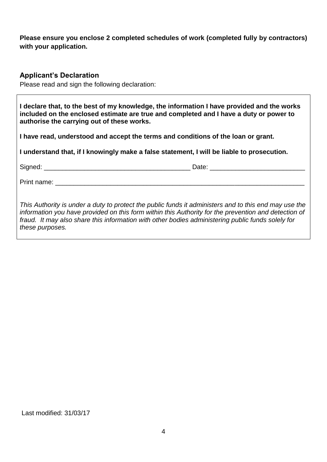## **Please ensure you enclose 2 completed schedules of work (completed fully by contractors) with your application.**

### **Applicant's Declaration**

Please read and sign the following declaration:

| I declare that, to the best of my knowledge, the information I have provided and the works<br>included on the enclosed estimate are true and completed and I have a duty or power to<br>authorise the carrying out of these works.                                                                                                    |  |  |  |
|---------------------------------------------------------------------------------------------------------------------------------------------------------------------------------------------------------------------------------------------------------------------------------------------------------------------------------------|--|--|--|
| I have read, understood and accept the terms and conditions of the loan or grant.                                                                                                                                                                                                                                                     |  |  |  |
| I understand that, if I knowingly make a false statement, I will be liable to prosecution.                                                                                                                                                                                                                                            |  |  |  |
|                                                                                                                                                                                                                                                                                                                                       |  |  |  |
|                                                                                                                                                                                                                                                                                                                                       |  |  |  |
| This Authority is under a duty to protect the public funds it administers and to this end may use the<br>information you have provided on this form within this Authority for the prevention and detection of<br>fraud. It may also share this information with other bodies administering public funds solely for<br>these purposes. |  |  |  |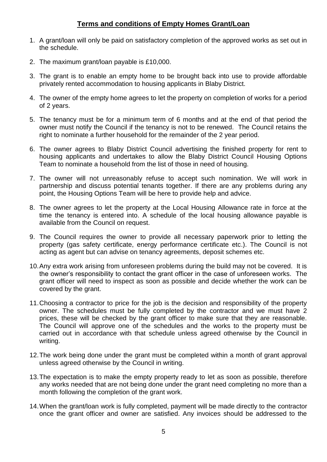### **Terms and conditions of Empty Homes Grant/Loan**

- 1. A grant/loan will only be paid on satisfactory completion of the approved works as set out in the schedule.
- 2. The maximum grant/loan payable is £10,000.
- 3. The grant is to enable an empty home to be brought back into use to provide affordable privately rented accommodation to housing applicants in Blaby District.
- 4. The owner of the empty home agrees to let the property on completion of works for a period of 2 years.
- 5. The tenancy must be for a minimum term of 6 months and at the end of that period the owner must notify the Council if the tenancy is not to be renewed. The Council retains the right to nominate a further household for the remainder of the 2 year period.
- 6. The owner agrees to Blaby District Council advertising the finished property for rent to housing applicants and undertakes to allow the Blaby District Council Housing Options Team to nominate a household from the list of those in need of housing.
- 7. The owner will not unreasonably refuse to accept such nomination. We will work in partnership and discuss potential tenants together. If there are any problems during any point, the Housing Options Team will be here to provide help and advice.
- 8. The owner agrees to let the property at the Local Housing Allowance rate in force at the time the tenancy is entered into. A schedule of the local housing allowance payable is available from the Council on request.
- 9. The Council requires the owner to provide all necessary paperwork prior to letting the property (gas safety certificate, energy performance certificate etc.). The Council is not acting as agent but can advise on tenancy agreements, deposit schemes etc.
- 10.Any extra work arising from unforeseen problems during the build may not be covered. It is the owner's responsibility to contact the grant officer in the case of unforeseen works. The grant officer will need to inspect as soon as possible and decide whether the work can be covered by the grant.
- 11.Choosing a contractor to price for the job is the decision and responsibility of the property owner. The schedules must be fully completed by the contractor and we must have 2 prices, these will be checked by the grant officer to make sure that they are reasonable. The Council will approve one of the schedules and the works to the property must be carried out in accordance with that schedule unless agreed otherwise by the Council in writing.
- 12.The work being done under the grant must be completed within a month of grant approval unless agreed otherwise by the Council in writing.
- 13.The expectation is to make the empty property ready to let as soon as possible, therefore any works needed that are not being done under the grant need completing no more than a month following the completion of the grant work.
- 14.When the grant/loan work is fully completed, payment will be made directly to the contractor once the grant officer and owner are satisfied. Any invoices should be addressed to the